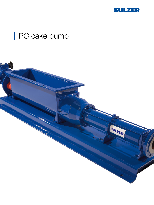

# PC cake pump

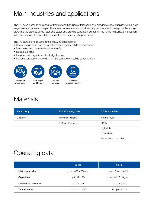# Main industries and applications

The PC cake pump is designed for transfer and handling of thickened and blended sludge, supplied with a large auger inlet and screw conveyor. The screw conveyor extends to the compression area to help push the sludge cake into the cavities of the rotor and stator and provide consistent pumping. The range is available in cast iron, with a choice of rotor and stator materials and a variety of hopper sizes.

The PC cake pump is used in the following applications:

- Heavy sludge cake transfer, greater than 30% dry solids concentration
- Dewatered and thickened sludge transfer
- Sludge blending
- Imported and organic waste sludge transfer
- Industrial process sludge with high percentage dry solids concentration









Chemical process industry

Water and wastewater

Pulp, paper and board



## **Materials**

| Pump body | <b>Rotor/rotating parts</b> | <b>Stator materials</b>  |
|-----------|-----------------------------|--------------------------|
| Cast iron | Alloy steel with HCP        | Natural rubber           |
|           | 316 stainless steel         | <b>EPDM</b>              |
|           |                             | High nitrile             |
|           |                             | Nitrile NBR              |
|           |                             | Fluoro-elastomer / Viton |

# Operating data

|                        | 50 Hz                       | 60 Hz                   |
|------------------------|-----------------------------|-------------------------|
| Inlet hopper size      | up to $1'000 \times 360$ mm | up to 39.4 x 14.2 in.   |
| Capacities             | up to 49 $m^3/h$            | up to 216 USgpm         |
| Differential pressures | up to 24 bar                | up to 350 psi           |
| <b>Temperatures</b>    | $-10$ up to $100^{\circ}$ C | 14 up to $212^{\circ}F$ |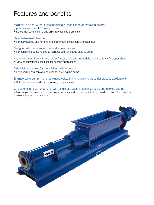# Features and benefits

### Maintain in place, without disconnecting suction flange or removing hopper (option available on PC cake pumps)

• Saves maintenance time and eliminate costs to dismantle

#### Detachable feed chamber

• For easy access and removal of the rotor and screw conveyor assembly

#### Designed with large auger inlet and screw conveyor

• For consistent pumping and to facilitate push of sludge cake to pump

### Available in cast iron with a choice of rotor and stator materials and a variety of hopper sizes

• Allowing customized solutions for specific applications

#### Side inlet port allows for the addition of thin sludge

• For blending and can also be used for draining the pump

### Engineered to pump thickened sludge cakes in municipal and industrial process applications

• Reliable operation in demanding sludge applications

### Choice of shaft sealing options, with single or double mechanical seals and packed glands

• Most applications require a mechanical seal as standard, however, Sulzer provides options for customer preferences and cost savings